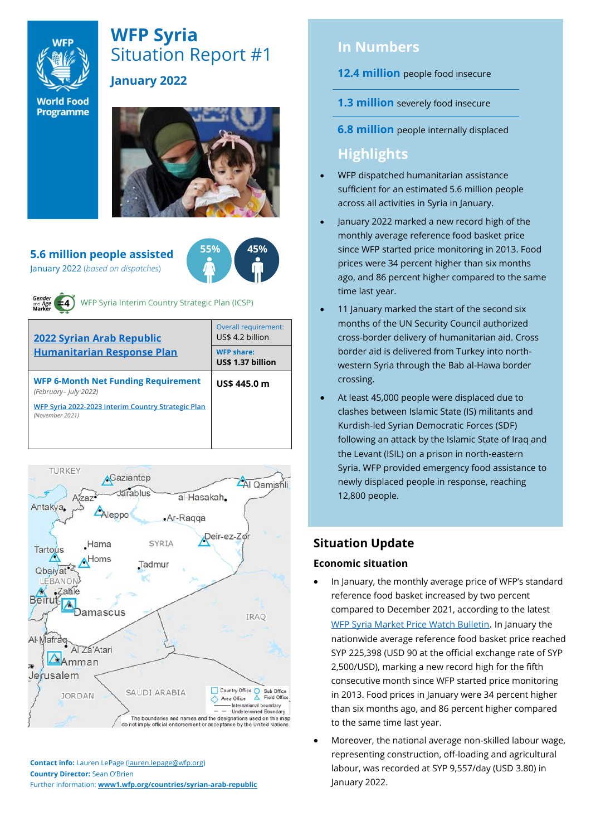

# **WFP Syria** Situation Report #1 **January 2022**

**World Food** Programme



**5.6 million people assisted** January 2022 (*based on dispatches*)





WFP Syria Interim Country Strategic Plan (ICSP)

| <b>2022 Syrian Arab Republic</b>                                      | <b>Overall requirement:</b><br>US\$ 4.2 billion |  |  |
|-----------------------------------------------------------------------|-------------------------------------------------|--|--|
| <b>Humanitarian Response Plan</b>                                     | <b>WFP share:</b><br>US\$ 1.37 billion          |  |  |
| <b>WFP 6-Month Net Funding Requirement</b><br>(February- July 2022)   | US\$ 445.0 m                                    |  |  |
| WFP Syria 2022-2023 Interim Country Strategic Plan<br>(November 2021) |                                                 |  |  |
|                                                                       |                                                 |  |  |



**Contact info:** Lauren LePage [\(lauren.lepage@wfp.org\)](mailto:lauren.lepage@wfp.org) **Country Director:** Sean O'Brien Further information: **[www1.wfp.org/countries/syrian-arab-republic](file:///C:/Users/lauren.lepage/AppData/Local/Microsoft/Windows/INetCache/Content.Outlook/HTRVWXQN/www1.wfp.org/countries/syrian-arab-republic)**

# **In Numbers**

**12.4 million** people food insecure

- **1.3 million** severely food insecure
- **6.8 million** people internally displaced

# **Highlights**

- WFP dispatched humanitarian assistance sufficient for an estimated 5.6 million people across all activities in Syria in January.
- January 2022 marked a new record high of the monthly average reference food basket price since WFP started price monitoring in 2013. Food prices were 34 percent higher than six months ago, and 86 percent higher compared to the same time last year.
- 11 January marked the start of the second six months of the UN Security Council authorized cross-border delivery of humanitarian aid. Cross border aid is delivered from Turkey into northwestern Syria through the Bab al-Hawa border crossing.
- At least 45,000 people were displaced due to clashes between Islamic State (IS) militants and Kurdish-led Syrian Democratic Forces (SDF) following an attack by the Islamic State of Iraq and the Levant (ISIL) on a prison in north-eastern Syria. WFP provided emergency food assistance to newly displaced people in response, reaching 12,800 people.

# **Situation Update**

#### **Economic situation**

- In January, the monthly average price of WFP's standard reference food basket increased by two percent compared to December 2021, according to the latest [WFP Syria Market Price Watch Bulletin](https://reliefweb.int/report/syrian-arab-republic/syria-country-office-market-price-watch-bulletin-issue-86-january-2022). In January the nationwide average reference food basket price reached SYP 225,398 (USD 90 at the official exchange rate of SYP 2,500/USD), marking a new record high for the fifth consecutive month since WFP started price monitoring in 2013. Food prices in January were 34 percent higher than six months ago, and 86 percent higher compared to the same time last year.
- Moreover, the national average non-skilled labour wage, representing construction, off-loading and agricultural labour, was recorded at SYP 9,557/day (USD 3.80) in January 2022.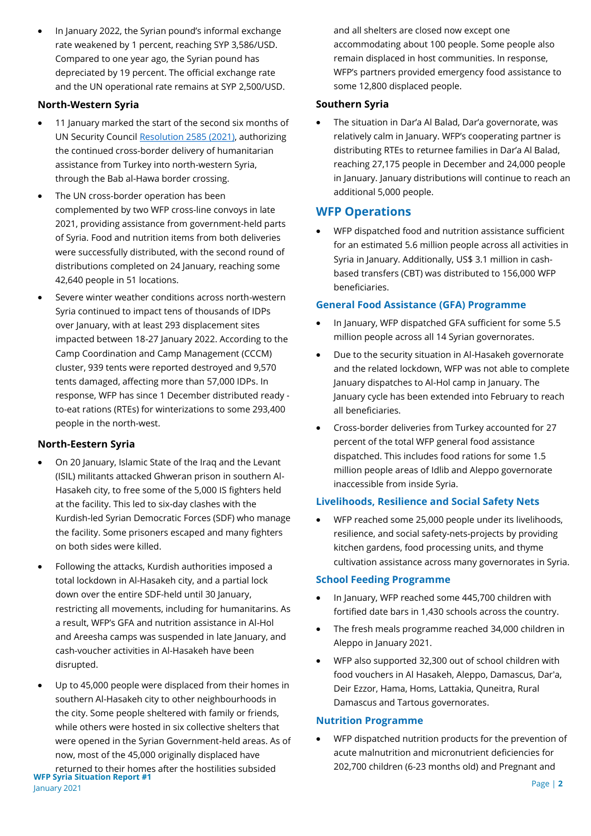• In January 2022, the Syrian pound's informal exchange rate weakened by 1 percent, reaching SYP 3,586/USD. Compared to one year ago, the Syrian pound has depreciated by 19 percent. The official exchange rate and the UN operational rate remains at SYP 2,500/USD.

#### **North-Western Syria**

- 11 January marked the start of the second six months of UN Security Counci[l Resolution 2585 \(2021\),](https://undocs.org/S/RES/2585(2021)) authorizing the continued cross-border delivery of humanitarian assistance from Turkey into north-western Syria, through the Bab al-Hawa border crossing.
- The UN cross-border operation has been complemented by two WFP cross-line convoys in late 2021, providing assistance from government-held parts of Syria. Food and nutrition items from both deliveries were successfully distributed, with the second round of distributions completed on 24 January, reaching some 42,640 people in 51 locations.
- Severe winter weather conditions across north-western Syria continued to impact tens of thousands of IDPs over January, with at least 293 displacement sites impacted between 18-27 January 2022. According to the Camp Coordination and Camp Management (CCCM) cluster, 939 tents were reported destroyed and 9,570 tents damaged, affecting more than 57,000 IDPs. In response, WFP has since 1 December distributed ready to-eat rations (RTEs) for winterizations to some 293,400 people in the north-west.

### **North-Eestern Syria**

- On 20 January, Islamic State of the Iraq and the Levant (ISIL) militants attacked Ghweran prison in southern Al-Hasakeh city, to free some of the 5,000 IS fighters held at the facility. This led to six-day clashes with the Kurdish-led Syrian Democratic Forces (SDF) who manage the facility. Some prisoners escaped and many fighters on both sides were killed.
- Following the attacks, Kurdish authorities imposed a total lockdown in Al-Hasakeh city, and a partial lock down over the entire SDF-held until 30 January, restricting all movements, including for humanitarins. As a result, WFP's GFA and nutrition assistance in Al-Hol and Areesha camps was suspended in late January, and cash-voucher activities in Al-Hasakeh have been disrupted.
- **WFP Syria Situation Report #1** January 2021 Up to 45,000 people were displaced from their homes in southern Al-Hasakeh city to other neighbourhoods in the city. Some people sheltered with family or friends, while others were hosted in six collective shelters that were opened in the Syrian Government-held areas. As of now, most of the 45,000 originally displaced have returned to their homes after the hostilities subsided

and all shelters are closed now except one accommodating about 100 people. Some people also remain displaced in host communities. In response, WFP's partners provided emergency food assistance to some 12,800 displaced people.

#### **Southern Syria**

• The situation in Dar'a Al Balad, Dar'a governorate, was relatively calm in January. WFP's cooperating partner is distributing RTEs to returnee families in Dar'a Al Balad, reaching 27,175 people in December and 24,000 people in January. January distributions will continue to reach an additional 5,000 people.

### **WFP Operations**

• WFP dispatched food and nutrition assistance sufficient for an estimated 5.6 million people across all activities in Syria in January. Additionally, US\$ 3.1 million in cashbased transfers (CBT) was distributed to 156,000 WFP beneficiaries.

#### **General Food Assistance (GFA) Programme**

- In January, WFP dispatched GFA sufficient for some 5.5 million people across all 14 Syrian governorates.
- Due to the security situation in Al-Hasakeh governorate and the related lockdown, WFP was not able to complete January dispatches to Al-Hol camp in January. The January cycle has been extended into February to reach all beneficiaries.
- Cross-border deliveries from Turkey accounted for 27 percent of the total WFP general food assistance dispatched. This includes food rations for some 1.5 million people areas of Idlib and Aleppo governorate inaccessible from inside Syria.

#### **Livelihoods, Resilience and Social Safety Nets**

• WFP reached some 25,000 people under its livelihoods, resilience, and social safety-nets-projects by providing kitchen gardens, food processing units, and thyme cultivation assistance across many governorates in Syria.

#### **School Feeding Programme**

- In January, WFP reached some 445,700 children with fortified date bars in 1,430 schools across the country.
- The fresh meals programme reached 34,000 children in Aleppo in January 2021.
- WFP also supported 32,300 out of school children with food vouchers in Al Hasakeh, Aleppo, Damascus, Dar'a, Deir Ezzor, Hama, Homs, Lattakia, Quneitra, Rural Damascus and Tartous governorates.

#### **Nutrition Programme**

• WFP dispatched nutrition products for the prevention of acute malnutrition and micronutrient deficiencies for 202,700 children (6-23 months old) and Pregnant and